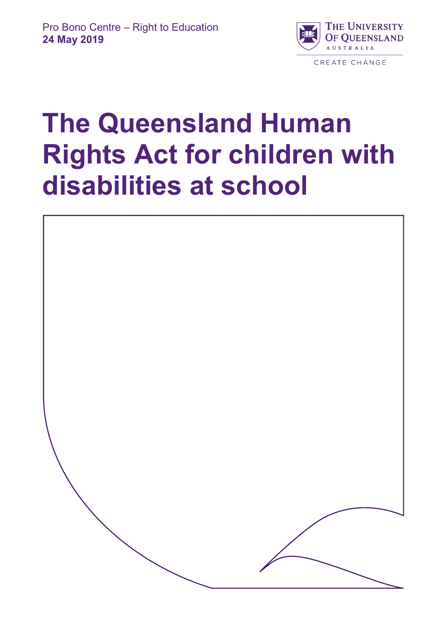

# **The Queensland Human Rights Act for children with disabilities at school**

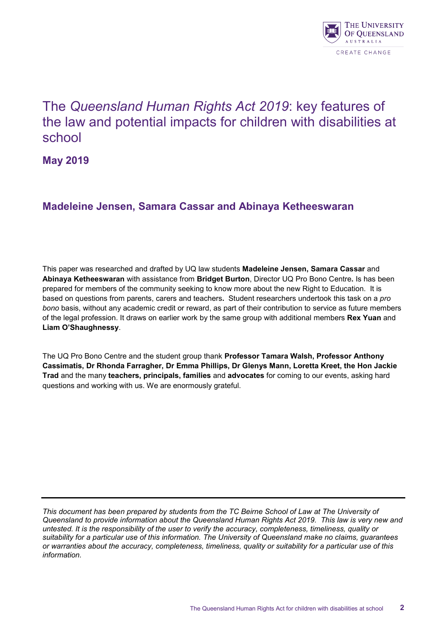

## The *Queensland Human Rights Act 2019*: key features of the law and potential impacts for children with disabilities at school

**May 2019**

## **Madeleine Jensen, Samara Cassar and Abinaya Ketheeswaran**

This paper was researched and drafted by UQ law students **Madeleine Jensen, Samara Cassar** and **Abinaya Ketheeswaran** with assistance from **Bridget Burton**, Director UQ Pro Bono Centre**.** Is has been prepared for members of the community seeking to know more about the new Right to Education. It is based on questions from parents, carers and teachers**.** Student researchers undertook this task on a *pro bono* basis, without any academic credit or reward, as part of their contribution to service as future members of the legal profession. It draws on earlier work by the same group with additional members **Rex Yuan** and **Liam O'Shaughnessy**.

The UQ Pro Bono Centre and the student group thank **Professor Tamara Walsh, Professor Anthony Cassimatis, Dr Rhonda Farragher, Dr Emma Phillips, Dr Glenys Mann, Loretta Kreet, the Hon Jackie Trad** and the many **teachers, principals, families** and **advocates** for coming to our events, asking hard questions and working with us. We are enormously grateful.

*This document has been prepared by students from the TC Beirne School of Law at The University of Queensland to provide information about the Queensland Human Rights Act 2019. This law is very new and untested. It is the responsibility of the user to verify the accuracy, completeness, timeliness, quality or suitability for a particular use of this information. The University of Queensland make no claims, guarantees or warranties about the accuracy, completeness, timeliness, quality or suitability for a particular use of this information.*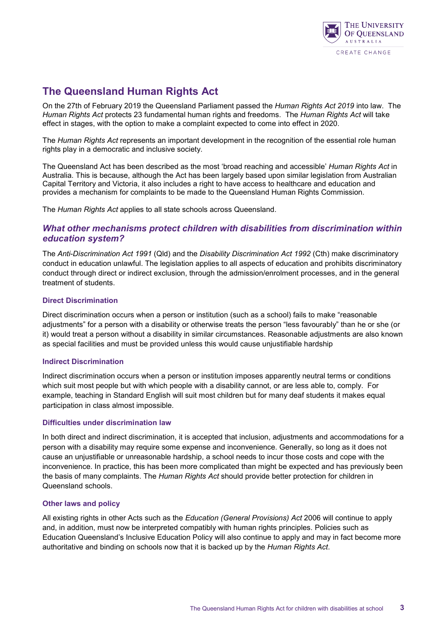

## **The Queensland Human Rights Act**

On the 27th of February 2019 the Queensland Parliament passed the *Human Rights Act 2019* into law. The *Human Rights Act* protects 23 fundamental human rights and freedoms. The *Human Rights Act* will take effect in stages, with the option to make a complaint expected to come into effect in 2020.

The *Human Rights Act* represents an important development in the recognition of the essential role human rights play in a democratic and inclusive society.

The Queensland Act has been described as the most 'broad reaching and accessible' *Human Rights Act* in Australia. This is because, although the Act has been largely based upon similar legislation from Australian Capital Territory and Victoria, it also includes a right to have access to healthcare and education and provides a mechanism for complaints to be made to the Queensland Human Rights Commission.

The *Human Rights Act* applies to all state schools across Queensland.

#### *What other mechanisms protect children with disabilities from discrimination within education system?*

The *Anti-Discrimination Act 1991* (Qld) and the *Disability Discrimination Act 1992* (Cth) make discriminatory conduct in education unlawful. The legislation applies to all aspects of education and prohibits discriminatory conduct through direct or indirect exclusion, through the admission/enrolment processes, and in the general treatment of students.

#### **Direct Discrimination**

Direct discrimination occurs when a person or institution (such as a school) fails to make "reasonable adjustments" for a person with a disability or otherwise treats the person "less favourably" than he or she (or it) would treat a person without a disability in similar circumstances. Reasonable adjustments are also known as special facilities and must be provided unless this would cause unjustifiable hardship

#### **Indirect Discrimination**

Indirect discrimination occurs when a person or institution imposes apparently neutral terms or conditions which suit most people but with which people with a disability cannot, or are less able to, comply. For example, teaching in Standard English will suit most children but for many deaf students it makes equal participation in class almost impossible.

#### **Difficulties under discrimination law**

In both direct and indirect discrimination, it is accepted that inclusion, adjustments and accommodations for a person with a disability may require some expense and inconvenience. Generally, so long as it does not cause an unjustifiable or unreasonable hardship, a school needs to incur those costs and cope with the inconvenience. In practice, this has been more complicated than might be expected and has previously been the basis of many complaints. The *Human Rights Act* should provide better protection for children in Queensland schools.

#### **Other laws and policy**

All existing rights in other Acts such as the *Education (General Provisions) Act* 2006 will continue to apply and, in addition, must now be interpreted compatibly with human rights principles. Policies such as Education Queensland's Inclusive Education Policy will also continue to apply and may in fact become more authoritative and binding on schools now that it is backed up by the *Human Rights Act*.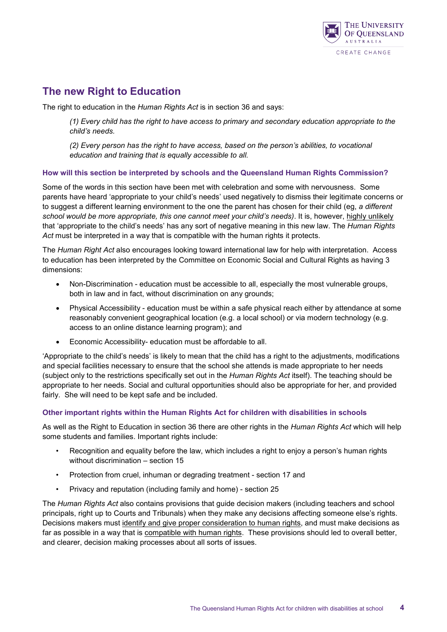

## **The new Right to Education**

The right to education in the *Human Rights Act* is in section 36 and says:

*(1) Every child has the right to have access to primary and secondary education appropriate to the child's needs.*

*(2) Every person has the right to have access, based on the person's abilities, to vocational education and training that is equally accessible to all.*

#### **How will this section be interpreted by schools and the Queensland Human Rights Commission?**

Some of the words in this section have been met with celebration and some with nervousness. Some parents have heard 'appropriate to your child's needs' used negatively to dismiss their legitimate concerns or to suggest a different learning environment to the one the parent has chosen for their child (eg, *a different school would be more appropriate, this one cannot meet your child's needs)*. It is, however, highly unlikely that 'appropriate to the child's needs' has any sort of negative meaning in this new law. The *Human Rights Act* must be interpreted in a way that is compatible with the human rights it protects.

The *Human Right Act* also encourages looking toward international law for help with interpretation. Access to education has been interpreted by the Committee on Economic Social and Cultural Rights as having 3 dimensions:

- Non-Discrimination education must be accessible to all, especially the most vulnerable groups, both in law and in fact, without discrimination on any grounds;
- Physical Accessibility education must be within a safe physical reach either by attendance at some reasonably convenient geographical location (e.g. a local school) or via modern technology (e.g. access to an online distance learning program); and
- Economic Accessibility- education must be affordable to all.

'Appropriate to the child's needs' is likely to mean that the child has a right to the adjustments, modifications and special facilities necessary to ensure that the school she attends is made appropriate to her needs (subject only to the restrictions specifically set out in the *Human Rights Act* itself). The teaching should be appropriate to her needs. Social and cultural opportunities should also be appropriate for her, and provided fairly. She will need to be kept safe and be included.

#### **Other important rights within the Human Rights Act for children with disabilities in schools**

As well as the Right to Education in section 36 there are other rights in the *Human Rights Act* which will help some students and families. Important rights include:

- Recognition and equality before the law, which includes a right to enjoy a person's human rights without discrimination – section 15
- Protection from cruel, inhuman or degrading treatment section 17 and
- Privacy and reputation (including family and home) section 25

The *Human Rights Act* also contains provisions that guide decision makers (including teachers and school principals, right up to Courts and Tribunals) when they make any decisions affecting someone else's rights. Decisions makers must identify and give proper consideration to human rights, and must make decisions as far as possible in a way that is compatible with human rights. These provisions should led to overall better, and clearer, decision making processes about all sorts of issues.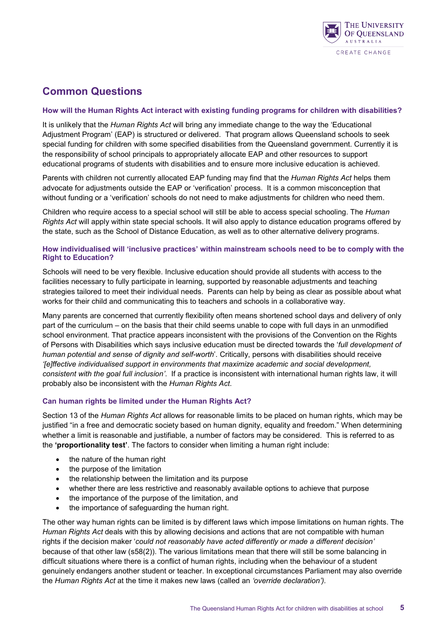

## **Common Questions**

#### **How will the Human Rights Act interact with existing funding programs for children with disabilities?**

It is unlikely that the *Human Rights Act* will bring any immediate change to the way the 'Educational Adjustment Program' (EAP) is structured or delivered. That program allows Queensland schools to seek special funding for children with some specified disabilities from the Queensland government. Currently it is the responsibility of school principals to appropriately allocate EAP and other resources to support educational programs of students with disabilities and to ensure more inclusive education is achieved.

Parents with children not currently allocated EAP funding may find that the *Human Rights Act* helps them advocate for adjustments outside the EAP or 'verification' process. It is a common misconception that without funding or a 'verification' schools do not need to make adjustments for children who need them.

Children who require access to a special school will still be able to access special schooling. The *Human Rights Act* will apply within state special schools. It will also apply to distance education programs offered by the state, such as the School of Distance Education, as well as to other alternative delivery programs.

#### **How individualised will 'inclusive practices' within mainstream schools need to be to comply with the Right to Education?**

Schools will need to be very flexible. Inclusive education should provide all students with access to the facilities necessary to fully participate in learning, supported by reasonable adjustments and teaching strategies tailored to meet their individual needs. Parents can help by being as clear as possible about what works for their child and communicating this to teachers and schools in a collaborative way.

Many parents are concerned that currently flexibility often means shortened school days and delivery of only part of the curriculum – on the basis that their child seems unable to cope with full days in an unmodified school environment. That practice appears inconsistent with the provisions of the Convention on the Rights of Persons with Disabilities which says inclusive education must be directed towards the '*full development of human potential and sense of dignity and self-worth*'. Critically, persons with disabilities should receive *'[e]ffective individualised support in environments that maximize academic and social development, consistent with the goal full inclusion'*. If a practice is inconsistent with international human rights law, it will probably also be inconsistent with the *Human Rights Act*.

#### **Can human rights be limited under the Human Rights Act?**

Section 13 of the *Human Rights Act* allows for reasonable limits to be placed on human rights, which may be justified "in a free and democratic society based on human dignity, equality and freedom." When determining whether a limit is reasonable and justifiable, a number of factors may be considered. This is referred to as the **'proportionality test'**. The factors to consider when limiting a human right include:

- the nature of the human right
- the purpose of the limitation
- the relationship between the limitation and its purpose
- whether there are less restrictive and reasonably available options to achieve that purpose
- the importance of the purpose of the limitation, and
- the importance of safeguarding the human right.

The other way human rights can be limited is by different laws which impose limitations on human rights. The *Human Rights Act* deals with this by allowing decisions and actions that are not compatible with human rights if the decision maker '*could not reasonably have acted differently or made a different decision'* because of that other law (s58(2)). The various limitations mean that there will still be some balancing in difficult situations where there is a conflict of human rights, including when the behaviour of a student genuinely endangers another student or teacher. In exceptional circumstances Parliament may also override the *Human Rights Act* at the time it makes new laws (called an *'override declaration').*